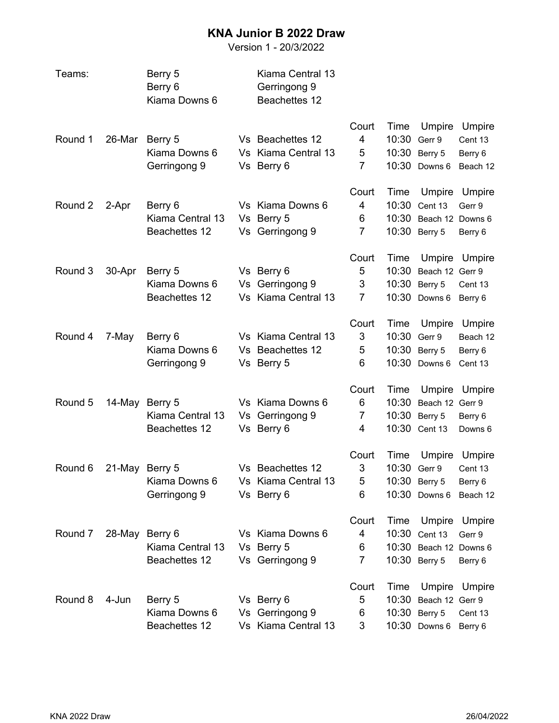## **KNA Junior B 2022 Draw**

Version 1 - 20/3/2022

| Teams:  |        | Berry 5<br>Berry 6<br>Kiama Downs 6 | Kiama Central 13<br>Gerringong 9<br>Beachettes 12 |                |       |                        |                    |
|---------|--------|-------------------------------------|---------------------------------------------------|----------------|-------|------------------------|--------------------|
|         |        |                                     |                                                   | Court          | Time  | Umpire                 | Umpire             |
| Round 1 | 26-Mar | Berry 5                             | Vs Beachettes 12                                  | 4              | 10:30 | Gerr 9                 | Cent 13            |
|         |        | Kiama Downs 6                       | Vs Kiama Central 13                               | 5              | 10:30 | Berry 5                | Berry 6            |
|         |        | Gerringong 9                        | Vs Berry 6                                        | 7              | 10:30 | Downs 6                | Beach 12           |
|         |        |                                     |                                                   | Court          | Time  | Umpire                 | Umpire             |
| Round 2 | 2-Apr  | Berry 6                             | Vs Kiama Downs 6                                  | 4              | 10:30 | Cent 13                | Gerr 9             |
|         |        | Kiama Central 13                    | Vs Berry 5                                        | 6              | 10:30 | Beach 12 Downs 6       |                    |
|         |        | Beachettes 12                       | Vs Gerringong 9                                   | $\overline{7}$ | 10:30 | Berry 5                | Berry 6            |
|         |        |                                     |                                                   | Court          | Time  | Umpire                 | Umpire             |
| Round 3 | 30-Apr | Berry 5                             | Vs Berry 6                                        | 5              | 10:30 | Beach 12 Gerr 9        |                    |
|         |        | Kiama Downs 6                       | Vs Gerringong 9                                   | 3              | 10:30 | Berry 5                | Cent 13            |
|         |        | Beachettes 12                       | Vs Kiama Central 13                               | $\overline{7}$ | 10:30 | Downs 6                | Berry 6            |
|         |        |                                     |                                                   | Court          | Time  | Umpire                 | Umpire             |
| Round 4 | 7-May  | Berry 6                             | Vs Kiama Central 13                               | 3              | 10:30 | Gerr 9                 | Beach 12           |
|         |        | Kiama Downs 6                       | Vs Beachettes 12                                  | 5              | 10:30 | Berry 5                | Berry 6            |
|         |        | Gerringong 9                        | Vs Berry 5                                        | 6              | 10:30 | Downs 6                | Cent 13            |
|         |        |                                     |                                                   | Court          | Time  | Umpire                 | Umpire             |
| Round 5 | 14-May | Berry 5                             | Vs Kiama Downs 6                                  | 6              | 10:30 | Beach 12 Gerr 9        |                    |
|         |        | Kiama Central 13                    | Vs Gerringong 9                                   | $\overline{7}$ | 10:30 | Berry 5                | Berry 6            |
|         |        | Beachettes 12                       | Vs Berry 6                                        | 4              | 10:30 | Cent 13                | Downs <sub>6</sub> |
|         |        |                                     |                                                   | Court          | Time  | Umpire                 | Umpire             |
| Round 6 |        | 21-May Berry 5                      | Vs Beachettes 12                                  | 3              | 10:30 | Gerr 9                 | Cent 13            |
|         |        | Kiama Downs 6                       | Vs Kiama Central 13                               | 5              |       | 10:30 Berry 5          | Berry 6            |
|         |        | Gerringong 9                        | Vs Berry 6                                        | 6              |       | 10:30 Downs 6          | Beach 12           |
|         |        |                                     |                                                   | Court          | Time  |                        | Umpire Umpire      |
| Round 7 | 28-May | Berry 6                             | Vs Kiama Downs 6                                  | 4              | 10:30 | Cent 13                | Gerr 9             |
|         |        | Kiama Central 13                    | Vs Berry 5                                        | 6              |       | 10:30 Beach 12 Downs 6 |                    |
|         |        | Beachettes 12                       | Vs Gerringong 9                                   | $\overline{7}$ |       | 10:30 Berry 5          | Berry 6            |
|         |        |                                     |                                                   | Court          | Time  |                        | Umpire Umpire      |
| Round 8 | 4-Jun  | Berry 5                             | Vs Berry 6                                        | 5              | 10:30 | Beach 12 Gerr 9        |                    |
|         |        | Kiama Downs 6                       | Vs Gerringong 9                                   | 6              |       | 10:30 Berry 5          | Cent 13            |
|         |        | Beachettes 12                       | Vs Kiama Central 13                               | 3              |       | 10:30 Downs 6          | Berry 6            |